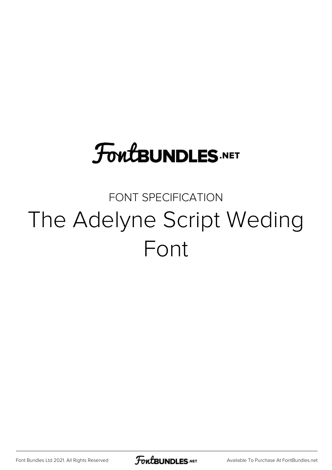## **FoutBUNDLES.NET**

## FONT SPECIFICATION The Adelyne Script Weding Font

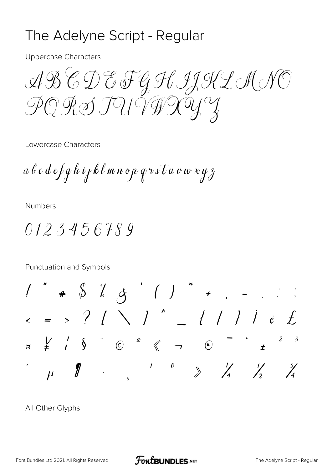## The Adelyne Script - Regular

**Uppercase Characters** 

AB CD EF GHIJKL MNO PQ RS TU VIDOY Y

Lowercase Characters

a b c d e f g h i j k l m n o p q r s T u v w x y z

**Numbers** 

0123456789

Punctuation and Symbols

 $\frac{1}{2}$   $\frac{1}{2}$   $\frac{1}{2}$   $\frac{1}{2}$   $\frac{1}{2}$   $\frac{1}{2}$   $\frac{1}{2}$   $\frac{1}{2}$   $\frac{1}{2}$   $\frac{1}{2}$   $\frac{1}{2}$   $\frac{1}{2}$   $\frac{1}{2}$   $\frac{1}{2}$   $\frac{1}{2}$   $\frac{1}{2}$   $\frac{1}{2}$   $\frac{1}{2}$   $\frac{1}{2}$   $\frac{1}{2}$   $\frac{1}{2}$   $\frac{1}{2}$   $\epsilon$  = > ?  $($  \  $)$  ^ \_  $($  / }  $)$   $\epsilon$   $f$  $\begin{array}{ccccccccccccccccc} \downarrow & & \cdot & & \searrow & & \searrow & & \heartsuit & & \heartsuit & & & \heartsuit & & & \heartsuit & & & \heartsuit & & & \heartsuit & & & \heartsuit & & & \heartsuit & & & \heartsuit & & & \heartsuit & & & \heartsuit & & & \heartsuit & & & \heartsuit & & & \heartsuit & & & \heartsuit & & & \heartsuit & & & \heartsuit & & & \heartsuit & & & \heartsuit & & & \heartsuit & & & \heartsuit & & & \heartsuit & & & \heartsuit & & & \heartsuit & & & \heartsuit & & & \heartsuit & & & \heartsuit & & & \he$  $2 \quad 3$  $\sqrt{2}$  $\mu$ 

All Other Glyphs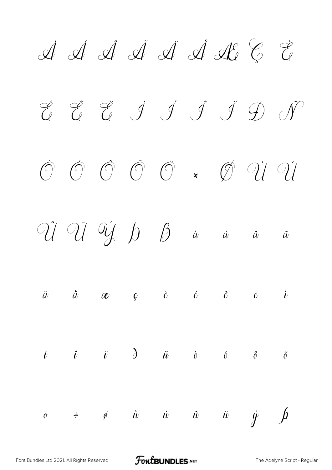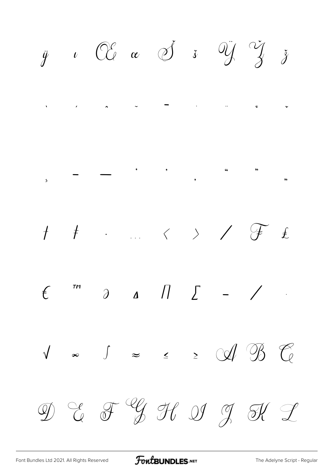

**FoutBUNDLES**.NET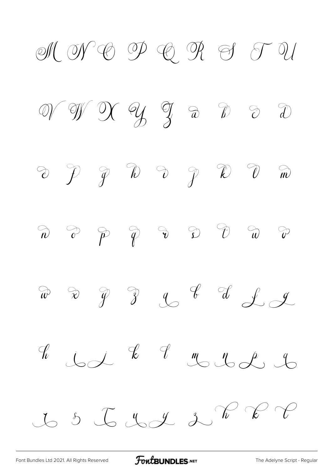

[Font Bundles Ltd 2021. All Rights Reserved](https://fontbundles.net/) **FoutBUNDLES.NET** [The Adelyne Script - Regular](https://fontbundles.net/)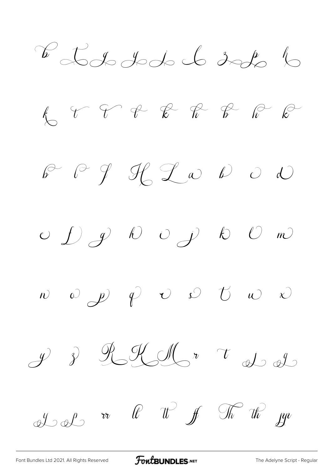B Les dads le 3 de la  $k$   $r$   $r$   $r$   $k$   $r$   $r$   $r$  $\begin{array}{ccccccccc} \mathfrak{g} & \mathfrak{g} & \mathfrak{g} & \mathfrak{g} & \mathfrak{g} & \mathfrak{g} & \mathfrak{g} & \mathfrak{g} & \mathfrak{g} & \mathfrak{g} & \mathfrak{g} & \mathfrak{g} & \mathfrak{g} & \mathfrak{g} & \mathfrak{g} & \mathfrak{g} & \mathfrak{g} & \mathfrak{g} & \mathfrak{g} & \mathfrak{g} & \mathfrak{g} & \mathfrak{g} & \mathfrak{g} & \mathfrak{g} & \mathfrak{g} & \mathfrak{g} & \mathfr$   $y$   $\partial$   $\partial$   $\partial$   $\partial$  $\int_{\mathcal{A}}\mathcal{A}^{(n)}\circ\mathcal{A}^{(n)}=\mathcal{A}^{(n)}\circ\mathcal{A}^{(n)}\circ\mathcal{A}^{(n)}\circ\mathcal{A}^{(n)}\circ\mathcal{A}^{(n)}$